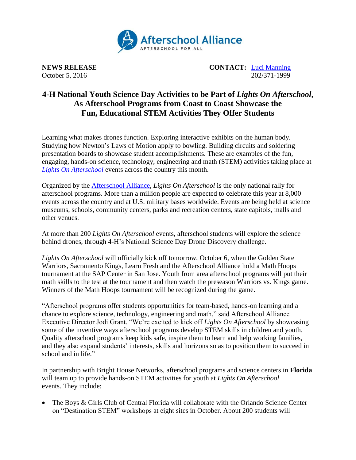

**NEWS RELEASE CONTACT:** [Luci Manning](mailto:luci@prsolutionsdc.com) October 5, 2016 202/371-1999

# **4-H National Youth Science Day Activities to be Part of** *Lights On Afterschool***, As Afterschool Programs from Coast to Coast Showcase the Fun, Educational STEM Activities They Offer Students**

Learning what makes drones function. Exploring interactive exhibits on the human body. Studying how Newton's Laws of Motion apply to bowling. Building circuits and soldering presentation boards to showcase student accomplishments. These are examples of the fun, engaging, hands-on science, technology, engineering and math (STEM) activities taking place at *[Lights On Afterschool](http://www.afterschoolalliance.org/loa.cfm)* events across the country this month.

Organized by the [Afterschool Alliance,](http://www.afterschoolalliance.org/) *Lights On Afterschool* is the only national rally for afterschool programs. More than a million people are expected to celebrate this year at 8,000 events across the country and at U.S. military bases worldwide. Events are being held at science museums, schools, community centers, parks and recreation centers, state capitols, malls and other venues.

At more than 200 *Lights On Afterschool* events, afterschool students will explore the science behind drones, through 4-H's National Science Day Drone Discovery challenge.

*Lights On Afterschool* will officially kick off tomorrow, October 6, when the Golden State Warriors, Sacramento Kings, Learn Fresh and the Afterschool Alliance hold a Math Hoops tournament at the SAP Center in San Jose. Youth from area afterschool programs will put their math skills to the test at the tournament and then watch the preseason Warriors vs. Kings game. Winners of the Math Hoops tournament will be recognized during the game.

"Afterschool programs offer students opportunities for team-based, hands-on learning and a chance to explore science, technology, engineering and math," said Afterschool Alliance Executive Director Jodi Grant. "We're excited to kick off *Lights On Afterschool* by showcasing some of the inventive ways afterschool programs develop STEM skills in children and youth. Quality afterschool programs keep kids safe, inspire them to learn and help working families, and they also expand students' interests, skills and horizons so as to position them to succeed in school and in life."

In partnership with Bright House Networks, afterschool programs and science centers in **Florida** will team up to provide hands-on STEM activities for youth at *Lights On Afterschool* events. They include:

 The Boys & Girls Club of Central Florida will collaborate with the Orlando Science Center on "Destination STEM" workshops at eight sites in October. About 200 students will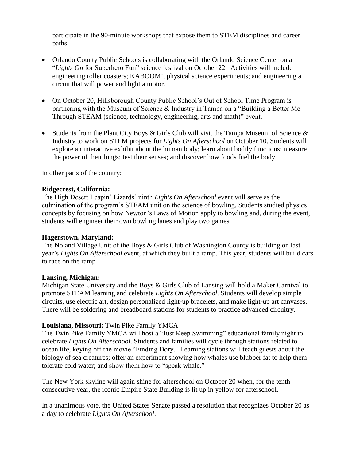participate in the 90-minute workshops that expose them to STEM disciplines and career paths.

- Orlando County Public Schools is collaborating with the Orlando Science Center on a "*Lights On* for Superhero Fun" science festival on October 22. Activities will include engineering roller coasters; KABOOM!, physical science experiments; and engineering a circuit that will power and light a motor.
- On October 20, Hillsborough County Public School's Out of School Time Program is partnering with the Museum of Science & Industry in Tampa on a "Building a Better Me Through STEAM (science, technology, engineering, arts and math)" event.
- Students from the Plant City Boys & Girls Club will visit the Tampa Museum of Science  $\&$ Industry to work on STEM projects for *Lights On Afterschool* on October 10. Students will explore an interactive exhibit about the human body; learn about bodily functions; measure the power of their lungs; test their senses; and discover how foods fuel the body.

In other parts of the country:

## **Ridgecrest, California:**

The High Desert Leapin' Lizards' ninth *Lights On Afterschool* event will serve as the culmination of the program's STEAM unit on the science of bowling. Students studied physics concepts by focusing on how Newton's Laws of Motion apply to bowling and, during the event, students will engineer their own bowling lanes and play two games.

## **Hagerstown, Maryland:**

The Noland Village Unit of the Boys & Girls Club of Washington County is building on last year's *Lights On Afterschool* event, at which they built a ramp. This year, students will build cars to race on the ramp

## **Lansing, Michigan:**

Michigan State University and the Boys & Girls Club of Lansing will hold a Maker Carnival to promote STEAM learning and celebrate *Lights On Afterschool*. Students will develop simple circuits, use electric art, design personalized light-up bracelets, and make light-up art canvases. There will be soldering and breadboard stations for students to practice advanced circuitry.

## **Louisiana, Missouri:** Twin Pike Family YMCA

The Twin Pike Family YMCA will host a "Just Keep Swimming" educational family night to celebrate *Lights On Afterschool*. Students and families will cycle through stations related to ocean life, keying off the movie "Finding Dory." Learning stations will teach guests about the biology of sea creatures; offer an experiment showing how whales use blubber fat to help them tolerate cold water; and show them how to "speak whale."

The New York skyline will again shine for afterschool on October 20 when, for the tenth consecutive year, the iconic Empire State Building is lit up in yellow for afterschool.

In a unanimous vote, the United States Senate passed a resolution that recognizes October 20 as a day to celebrate *Lights On Afterschool*.